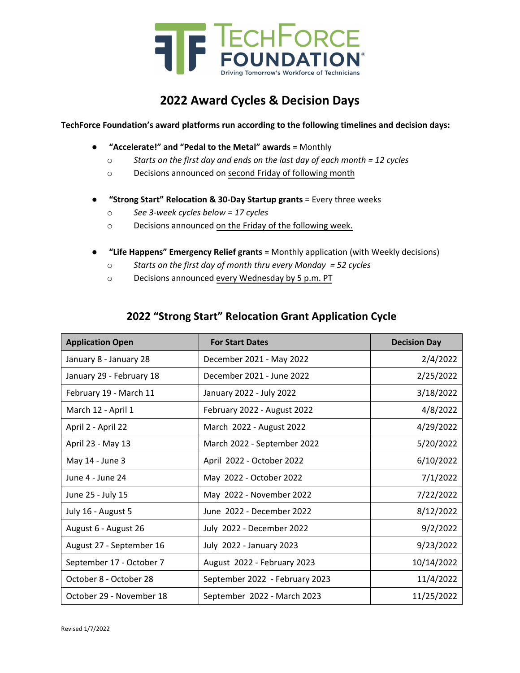

## **2022 Award Cycles & Decision Days**

**TechForce Foundation's award platforms run according to the following timelines and decision days:**

- **"Accelerate!" and "Pedal to the Metal" awards** = Monthly
	- o *Starts on the first day and ends on the last day of each month = 12 cycles*
	- o Decisions announced on second Friday of following month
- **"Strong Start" Relocation & 30‐Day Startup grants** = Every three weeks
	- o *See 3‐week cycles below = 17 cycles*
	- o Decisions announced on the Friday of the following week.
- **"Life Happens" Emergency Relief grants** = Monthly application (with Weekly decisions)
	- o *Starts on the first day of month thru every Monday = 52 cycles*
	- o Decisions announced every Wednesday by 5 p.m. PT

## **2022 "Strong Start" Relocation Grant Application Cycle**

| <b>Application Open</b>  | <b>For Start Dates</b>         | <b>Decision Day</b> |
|--------------------------|--------------------------------|---------------------|
| January 8 - January 28   | December 2021 - May 2022       | 2/4/2022            |
| January 29 - February 18 | December 2021 - June 2022      | 2/25/2022           |
| February 19 - March 11   | January 2022 - July 2022       | 3/18/2022           |
| March 12 - April 1       | February 2022 - August 2022    | 4/8/2022            |
| April 2 - April 22       | March 2022 - August 2022       | 4/29/2022           |
| April 23 - May 13        | March 2022 - September 2022    | 5/20/2022           |
| May 14 - June 3          | April 2022 - October 2022      | 6/10/2022           |
| June 4 - June 24         | May 2022 - October 2022        | 7/1/2022            |
| June 25 - July 15        | May 2022 - November 2022       | 7/22/2022           |
| July 16 - August 5       | June 2022 - December 2022      | 8/12/2022           |
| August 6 - August 26     | July 2022 - December 2022      | 9/2/2022            |
| August 27 - September 16 | July 2022 - January 2023       | 9/23/2022           |
| September 17 - October 7 | August 2022 - February 2023    | 10/14/2022          |
| October 8 - October 28   | September 2022 - February 2023 | 11/4/2022           |
| October 29 - November 18 | September 2022 - March 2023    | 11/25/2022          |